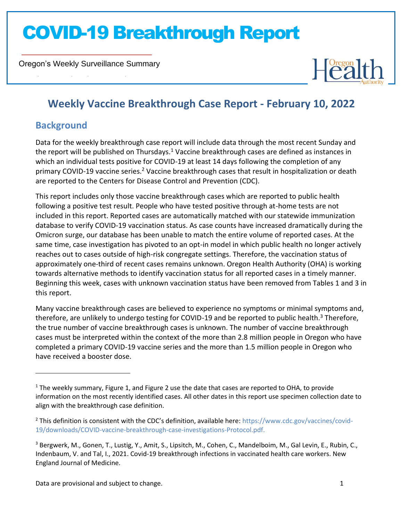Oregon's Weekly Surveillance Summary

Novel Coronavirus (COVID-19)



### **Weekly Vaccine Breakthrough Case Report - February 10, 2022**

### **Background**

Data for the weekly breakthrough case report will include data through the most recent Sunday and the report will be published on Thursdays.<sup>1</sup> Vaccine breakthrough cases are defined as instances in which an individual tests positive for COVID-19 at least 14 days following the completion of any primary COVID-19 vaccine series.<sup>2</sup> Vaccine breakthrough cases that result in hospitalization or death are reported to the Centers for Disease Control and Prevention (CDC).

This report includes only those vaccine breakthrough cases which are reported to public health following a positive test result. People who have tested positive through at-home tests are not included in this report. Reported cases are automatically matched with our statewide immunization database to verify COVID-19 vaccination status. As case counts have increased dramatically during the Omicron surge, our database has been unable to match the entire volume of reported cases. At the same time, case investigation has pivoted to an opt-in model in which public health no longer actively reaches out to cases outside of high-risk congregate settings. Therefore, the vaccination status of approximately one-third of recent cases remains unknown. Oregon Health Authority (OHA) is working towards alternative methods to identify vaccination status for all reported cases in a timely manner. Beginning this week, cases with unknown vaccination status have been removed from Tables 1 and 3 in this report.

Many vaccine breakthrough cases are believed to experience no symptoms or minimal symptoms and, therefore, are unlikely to undergo testing for COVID-19 and be reported to public health.<sup>3</sup> Therefore, the true number of vaccine breakthrough cases is unknown. The number of vaccine breakthrough cases must be interpreted within the context of the more than 2.8 million people in Oregon who have completed a primary COVID-19 vaccine series and the more than 1.5 million people in Oregon who have received a booster dose.

 $<sup>1</sup>$  The weekly summary, Figure 1, and Figure 2 use the date that cases are reported to OHA, to provide</sup> information on the most recently identified cases. All other dates in this report use specimen collection date to align with the breakthrough case definition.

<sup>2</sup> This definition is consistent with the CDC's definition, available here: [https://www.cdc.gov/vaccines/covid-](https://www.cdc.gov/vaccines/covid-19/downloads/COVID-vaccine-breakthrough-case-investigations-Protocol.pdf)[19/downloads/COVID-vaccine-breakthrough-case-investigations-Protocol.pdf.](https://www.cdc.gov/vaccines/covid-19/downloads/COVID-vaccine-breakthrough-case-investigations-Protocol.pdf)

<sup>3</sup> Bergwerk, M., Gonen, T., Lustig, Y., Amit, S., Lipsitch, M., Cohen, C., Mandelboim, M., Gal Levin, E., Rubin, C., Indenbaum, V. and Tal, I., 2021. Covid-19 breakthrough infections in vaccinated health care workers. New England Journal of Medicine.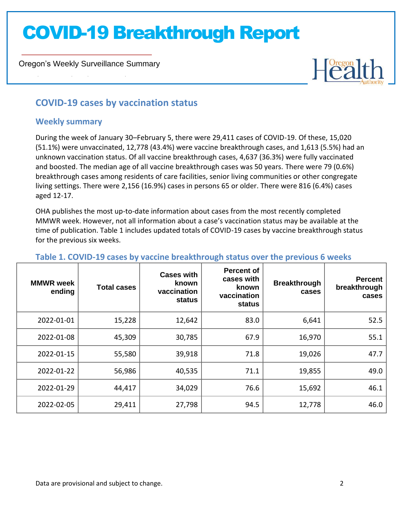Oregon's Weekly Surveillance Summary



### **COVID-19 cases by vaccination status**

#### **Weekly summary**

Novel Coronavirus (COVID-19)

During the week of January 30–February 5, there were 29,411 cases of COVID-19. Of these, 15,020 (51.1%) were unvaccinated, 12,778 (43.4%) were vaccine breakthrough cases, and 1,613 (5.5%) had an unknown vaccination status. Of all vaccine breakthrough cases, 4,637 (36.3%) were fully vaccinated and boosted. The median age of all vaccine breakthrough cases was 50 years. There were 79 (0.6%) breakthrough cases among residents of care facilities, senior living communities or other congregate living settings. There were 2,156 (16.9%) cases in persons 65 or older. There were 816 (6.4%) cases aged 12-17.

OHA publishes the most up-to-date information about cases from the most recently completed MMWR week. However, not all information about a case's vaccination status may be available at the time of publication. Table 1 includes updated totals of COVID-19 cases by vaccine breakthrough status for the previous six weeks.

| <b>MMWR</b> week<br>ending | <b>Total cases</b> | <b>Cases with</b><br>known<br>vaccination<br>status | <b>Percent of</b><br>cases with<br>known<br>vaccination<br>status | <b>Breakthrough</b><br>cases | <b>Percent</b><br>breakthrough<br>cases |
|----------------------------|--------------------|-----------------------------------------------------|-------------------------------------------------------------------|------------------------------|-----------------------------------------|
| 2022-01-01                 | 15,228             | 12,642                                              | 83.0                                                              | 6,641                        | 52.5                                    |
| 2022-01-08                 | 45,309             | 30,785                                              | 67.9                                                              | 16,970                       | 55.1                                    |
| 2022-01-15                 | 55,580             | 39,918                                              | 71.8                                                              | 19,026                       | 47.7                                    |
| 2022-01-22                 | 56,986             | 40,535                                              | 71.1                                                              | 19,855                       | 49.0                                    |
| 2022-01-29                 | 44,417             | 34,029                                              | 76.6                                                              | 15,692                       | 46.1                                    |
| 2022-02-05                 | 29,411             | 27,798                                              | 94.5                                                              | 12,778                       | 46.0                                    |

### **Table 1. COVID-19 cases by vaccine breakthrough status over the previous 6 weeks**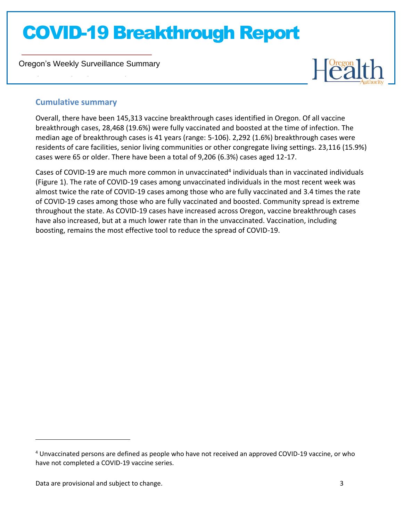Oregon's Weekly Surveillance Summary



### **Cumulative summary**

Novel Coronavirus (COVID-19)

Overall, there have been 145,313 vaccine breakthrough cases identified in Oregon. Of all vaccine breakthrough cases, 28,468 (19.6%) were fully vaccinated and boosted at the time of infection. The median age of breakthrough cases is 41 years (range: 5-106). 2,292 (1.6%) breakthrough cases were residents of care facilities, senior living communities or other congregate living settings. 23,116 (15.9%) cases were 65 or older. There have been a total of 9,206 (6.3%) cases aged 12-17.

Cases of COVID-19 are much more common in unvaccinated<sup>4</sup> individuals than in vaccinated individuals (Figure 1). The rate of COVID-19 cases among unvaccinated individuals in the most recent week was almost twice the rate of COVID-19 cases among those who are fully vaccinated and 3.4 times the rate of COVID-19 cases among those who are fully vaccinated and boosted. Community spread is extreme throughout the state. As COVID-19 cases have increased across Oregon, vaccine breakthrough cases have also increased, but at a much lower rate than in the unvaccinated. Vaccination, including boosting, remains the most effective tool to reduce the spread of COVID-19.

<sup>4</sup> Unvaccinated persons are defined as people who have not received an approved COVID-19 vaccine, or who have not completed a COVID-19 vaccine series.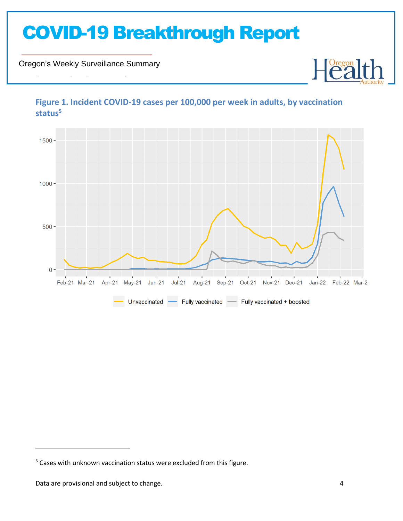Oregon's Weekly Surveillance Summary

Novel Coronavirus (COVID-19)



### **Figure 1. Incident COVID-19 cases per 100,000 per week in adults, by vaccination status<sup>5</sup>**

Heal

<sup>&</sup>lt;sup>5</sup> Cases with unknown vaccination status were excluded from this figure.

Data are provisional and subject to change. And the state of the state of the state of the state of the state of the state of the state of the state of the state of the state of the state of the state of the state of the s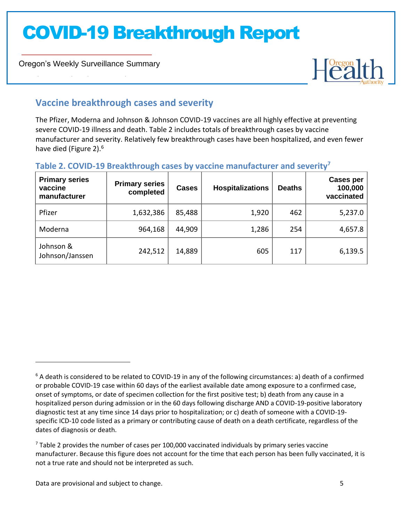Oregon's Weekly Surveillance Summary

Novel Coronavirus (COVID-19)



### **Vaccine breakthrough cases and severity**

The Pfizer, Moderna and Johnson & Johnson COVID-19 vaccines are all highly effective at preventing severe COVID-19 illness and death. Table 2 includes totals of breakthrough cases by vaccine manufacturer and severity. Relatively few breakthrough cases have been hospitalized, and even fewer have died (Figure 2).<sup>6</sup>

### **Table 2. COVID-19 Breakthrough cases by vaccine manufacturer and severity<sup>7</sup>**

| <b>Primary series</b><br>vaccine<br>manufacturer | <b>Primary series</b><br>completed | <b>Cases</b> | <b>Hospitalizations</b> | <b>Deaths</b> | <b>Cases per</b><br>100,000<br>vaccinated |
|--------------------------------------------------|------------------------------------|--------------|-------------------------|---------------|-------------------------------------------|
| Pfizer                                           | 1,632,386                          | 85,488       | 1,920                   | 462           | 5,237.0                                   |
| Moderna                                          | 964,168                            | 44,909       | 1,286                   | 254           | 4,657.8                                   |
| Johnson &<br>Johnson/Janssen                     | 242,512                            | 14,889       | 605                     | 117           | 6,139.5                                   |

 $6$  A death is considered to be related to COVID-19 in any of the following circumstances: a) death of a confirmed or probable COVID-19 case within 60 days of the earliest available date among exposure to a confirmed case, onset of symptoms, or date of specimen collection for the first positive test; b) death from any cause in a hospitalized person during admission or in the 60 days following discharge AND a COVID-19-positive laboratory diagnostic test at any time since 14 days prior to hospitalization; or c) death of someone with a COVID-19 specific ICD-10 code listed as a primary or contributing cause of death on a death certificate, regardless of the dates of diagnosis or death.

 $<sup>7</sup>$  Table 2 provides the number of cases per 100,000 vaccinated individuals by primary series vaccine</sup> manufacturer. Because this figure does not account for the time that each person has been fully vaccinated, it is not a true rate and should not be interpreted as such.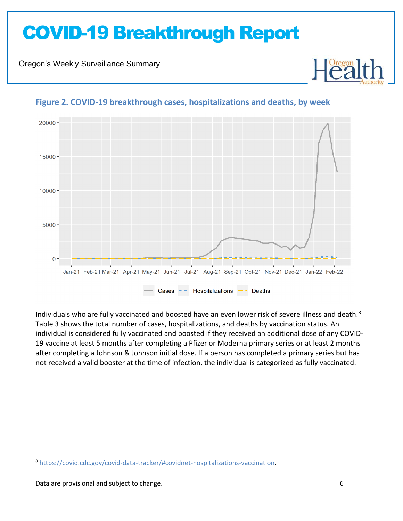Oregon's Weekly Surveillance Summary

Novel Coronavirus (COVID-19)



### **Figure 2. COVID-19 breakthrough cases, hospitalizations and deaths, by week**

Individuals who are fully vaccinated and boosted have an even lower risk of severe illness and death.<sup>8</sup> Table 3 shows the total number of cases, hospitalizations, and deaths by vaccination status. An individual is considered fully vaccinated and boosted if they received an additional dose of any COVID-19 vaccine at least 5 months after completing a Pfizer or Moderna primary series or at least 2 months after completing a Johnson & Johnson initial dose. If a person has completed a primary series but has not received a valid booster at the time of infection, the individual is categorized as fully vaccinated.

<sup>8</sup> [https://covid.cdc.gov/covid-data-tracker/#covidnet-hospitalizations-vaccination.](https://covid.cdc.gov/covid-data-tracker/#covidnet-hospitalizations-vaccination)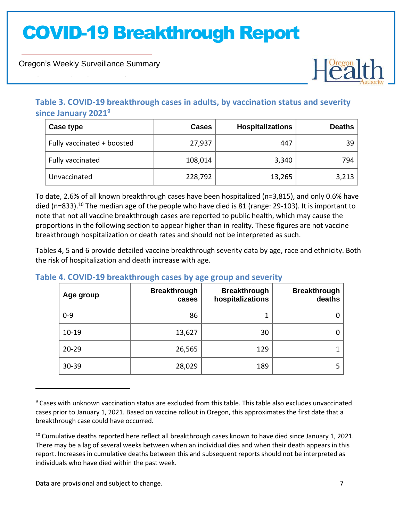Oregon's Weekly Surveillance Summary

Novel Coronavirus (COVID-19)



### **Table 3. COVID-19 breakthrough cases in adults, by vaccination status and severity since January 2021<sup>9</sup>**

| Case type                  | <b>Cases</b> | <b>Hospitalizations</b> | <b>Deaths</b> |
|----------------------------|--------------|-------------------------|---------------|
| Fully vaccinated + boosted | 27,937       | 447                     | 39            |
| Fully vaccinated           | 108,014      | 3,340                   | 794           |
| Unvaccinated               | 228,792      | 13,265                  | 3,213         |

To date, 2.6% of all known breakthrough cases have been hospitalized (n=3,815), and only 0.6% have died (n=833).<sup>10</sup> The median age of the people who have died is 81 (range: 29-103). It is important to note that not all vaccine breakthrough cases are reported to public health, which may cause the proportions in the following section to appear higher than in reality. These figures are not vaccine breakthrough hospitalization or death rates and should not be interpreted as such.

Tables 4, 5 and 6 provide detailed vaccine breakthrough severity data by age, race and ethnicity. Both the risk of hospitalization and death increase with age.

#### **Table 4. COVID-19 breakthrough cases by age group and severity**

| Age group | <b>Breakthrough</b><br>cases | <b>Breakthrough</b><br>hospitalizations | <b>Breakthrough</b><br>deaths |
|-----------|------------------------------|-----------------------------------------|-------------------------------|
| $0 - 9$   | 86                           |                                         | 0                             |
| $10 - 19$ | 13,627                       | 30                                      | 0                             |
| $20 - 29$ | 26,565                       | 129                                     |                               |
| $30 - 39$ | 28,029                       | 189                                     | 5                             |

<sup>9</sup> Cases with unknown vaccination status are excluded from this table. This table also excludes unvaccinated cases prior to January 1, 2021. Based on vaccine rollout in Oregon, this approximates the first date that a breakthrough case could have occurred.

<sup>&</sup>lt;sup>10</sup> Cumulative deaths reported here reflect all breakthrough cases known to have died since January 1, 2021. There may be a lag of several weeks between when an individual dies and when their death appears in this report. Increases in cumulative deaths between this and subsequent reports should not be interpreted as individuals who have died within the past week.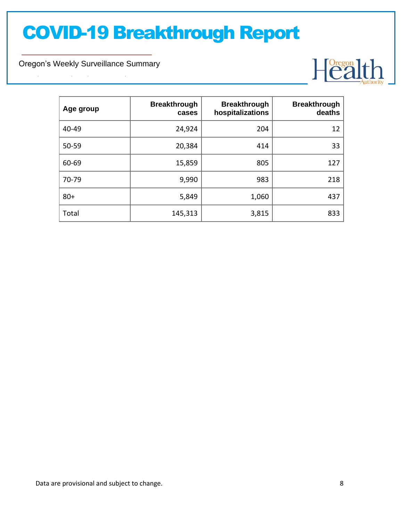Oregon's Weekly Surveillance Summary

Novel Coronavirus (COVID-19)



| Age group | <b>Breakthrough</b><br>cases | <b>Breakthrough</b><br>hospitalizations | <b>Breakthrough</b><br>deaths |
|-----------|------------------------------|-----------------------------------------|-------------------------------|
| 40-49     | 24,924                       | 204                                     | 12                            |
| 50-59     | 20,384                       | 414                                     | 33                            |
| 60-69     | 15,859                       | 805                                     | 127                           |
| 70-79     | 9,990                        | 983                                     | 218                           |
| $80+$     | 5,849                        | 1,060                                   | 437                           |
| Total     | 145,313                      | 3,815                                   | 833                           |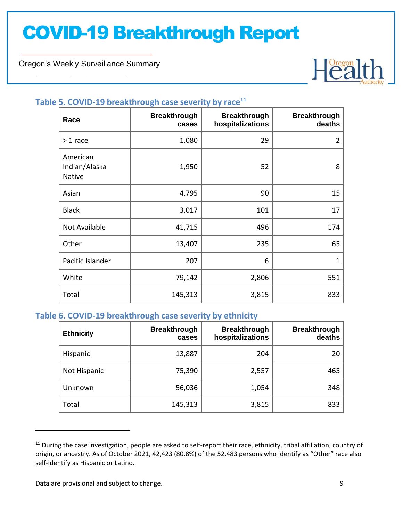Oregon's Weekly Surveillance Summary

Novel Coronavirus (COVID-19)



### **Table 5. COVID-19 breakthrough case severity by race<sup>11</sup>**

| Race                                       | <b>Breakthrough</b><br>cases | <b>Breakthrough</b><br>hospitalizations | <b>Breakthrough</b><br>deaths |
|--------------------------------------------|------------------------------|-----------------------------------------|-------------------------------|
| $> 1$ race                                 | 1,080                        | 29                                      | $\overline{2}$                |
| American<br>Indian/Alaska<br><b>Native</b> | 1,950                        | 52                                      | 8                             |
| Asian                                      | 4,795                        | 90                                      | 15                            |
| <b>Black</b>                               | 3,017                        | 101                                     | 17                            |
| Not Available                              | 41,715                       | 496                                     | 174                           |
| Other                                      | 13,407                       | 235                                     | 65                            |
| Pacific Islander                           | 207                          | 6                                       | $\mathbf{1}$                  |
| White                                      | 79,142                       | 2,806                                   | 551                           |
| Total                                      | 145,313                      | 3,815                                   | 833                           |

### **Table 6. COVID-19 breakthrough case severity by ethnicity**

| <b>Ethnicity</b> | <b>Breakthrough</b><br>cases | <b>Breakthrough</b><br>hospitalizations | <b>Breakthrough</b><br>deaths |
|------------------|------------------------------|-----------------------------------------|-------------------------------|
| Hispanic         | 13,887                       | 204                                     | 20                            |
| Not Hispanic     | 75,390                       | 2,557                                   | 465                           |
| Unknown          | 56,036                       | 1,054                                   | 348                           |
| Total            | 145,313                      | 3,815                                   | 833                           |

 $11$  During the case investigation, people are asked to self-report their race, ethnicity, tribal affiliation, country of origin, or ancestry. As of October 2021, 42,423 (80.8%) of the 52,483 persons who identify as "Other" race also self-identify as Hispanic or Latino.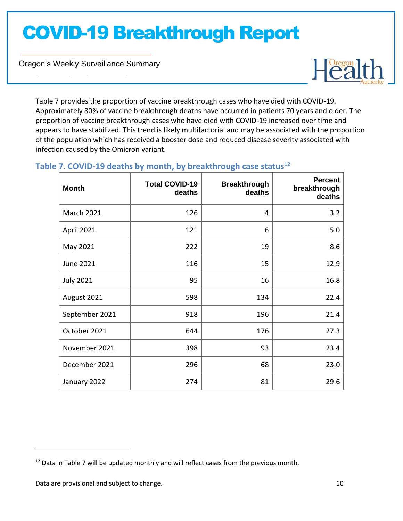Oregon's Weekly Surveillance Summary

Novel Coronavirus (COVID-19)



Table 7 provides the proportion of vaccine breakthrough cases who have died with COVID-19. Approximately 80% of vaccine breakthrough deaths have occurred in patients 70 years and older. The proportion of vaccine breakthrough cases who have died with COVID-19 increased over time and appears to have stabilized. This trend is likely multifactorial and may be associated with the proportion of the population which has received a booster dose and reduced disease severity associated with infection caused by the Omicron variant.

### **Month Total COVID-19 deaths Breakthrough deaths Percent breakthrough deaths** March 2021 126 4 3.2 April 2021 121 6 5.0 May 2021  $\begin{array}{|c|c|c|c|c|c|}\n\hline\n& & & 222 & & & 19 & & & 8.6 \\
\hline\n\end{array}$ June 2021 116 15 12.9 July 2021 95 16 16.8 August 2021 134 | 134 | 22.4 September 2021 | 918 | 918 | 919 | 21.4

October 2021 176 27.3

November 2021 398 93 23.4

December 2021 1296 296 120 23.0

January 2022 274 81 29.6

### **Table 7. COVID-19 deaths by month, by breakthrough case status<sup>12</sup>**

<sup>&</sup>lt;sup>12</sup> Data in Table 7 will be updated monthly and will reflect cases from the previous month.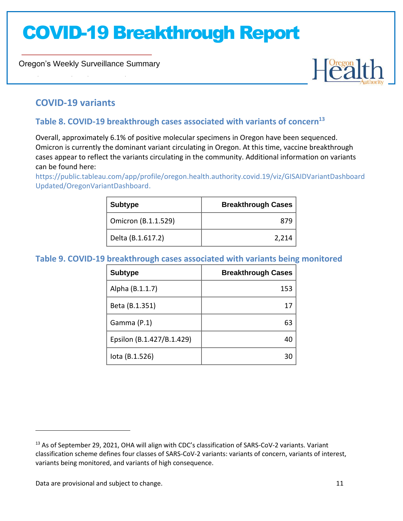Oregon's Weekly Surveillance Summary



### **COVID-19 variants**

Novel Coronavirus (COVID-19)

### **Table 8. COVID-19 breakthrough cases associated with variants of concern<sup>13</sup>**

Overall, approximately 6.1% of positive molecular specimens in Oregon have been sequenced. Omicron is currently the dominant variant circulating in Oregon. At this time, vaccine breakthrough cases appear to reflect the variants circulating in the community. Additional information on variants can be found here:

[https://public.tableau.com/app/profile/oregon.health.authority.covid.19/viz/GISAIDVariantDashboard](https://public.tableau.com/app/profile/oregon.health.authority.covid.19/viz/GISAIDVariantDashboardUpdated/OregonVariantDashboard) [Updated/OregonVariantDashboard.](https://public.tableau.com/app/profile/oregon.health.authority.covid.19/viz/GISAIDVariantDashboardUpdated/OregonVariantDashboard)

| <b>Subtype</b>      | <b>Breakthrough Cases</b> |
|---------------------|---------------------------|
| Omicron (B.1.1.529) | 879                       |
| Delta (B.1.617.2)   | 2,214                     |

#### **Table 9. COVID-19 breakthrough cases associated with variants being monitored**

| <b>Subtype</b>            | <b>Breakthrough Cases</b> |
|---------------------------|---------------------------|
| Alpha (B.1.1.7)           | 153                       |
| Beta (B.1.351)            |                           |
| Gamma (P.1)               | 63                        |
| Epsilon (B.1.427/B.1.429) |                           |
| lota (B.1.526)            |                           |

Data are provisional and subject to change. 11 and 200 minutes are contained by  $11$ 

<sup>&</sup>lt;sup>13</sup> As of September 29, 2021, OHA will align with CDC's classification of SARS-CoV-2 variants. Variant classification scheme defines four classes of SARS-CoV-2 variants: variants of concern, variants of interest, variants being monitored, and variants of high consequence.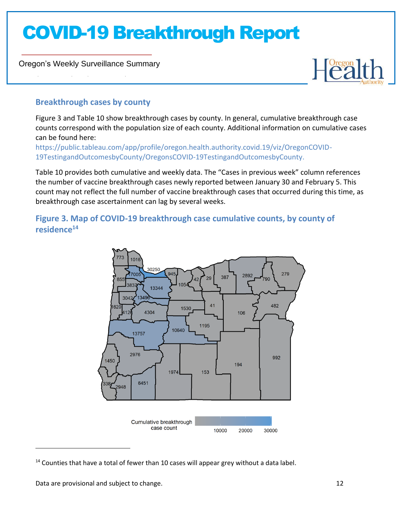Oregon's Weekly Surveillance Summary

Novel Coronavirus (COVID-19)



### **Breakthrough cases by county**

Figure 3 and Table 10 show breakthrough cases by county. In general, cumulative breakthrough case counts correspond with the population size of each county. Additional information on cumulative cases can be found here:

[https://public.tableau.com/app/profile/oregon.health.authority.covid.19/viz/OregonCOVID-](https://public.tableau.com/app/profile/oregon.health.authority.covid.19/viz/OregonCOVID-19TestingandOutcomesbyCounty/OregonsCOVID-19TestingandOutcomesbyCounty)[19TestingandOutcomesbyCounty/OregonsCOVID-19TestingandOutcomesbyCounty.](https://public.tableau.com/app/profile/oregon.health.authority.covid.19/viz/OregonCOVID-19TestingandOutcomesbyCounty/OregonsCOVID-19TestingandOutcomesbyCounty)

Table 10 provides both cumulative and weekly data. The "Cases in previous week" column references the number of vaccine breakthrough cases newly reported between January 30 and February 5. This count may not reflect the full number of vaccine breakthrough cases that occurred during this time, as breakthrough case ascertainment can lag by several weeks.

**Figure 3. Map of COVID-19 breakthrough case cumulative counts, by county of residence<sup>14</sup>**



 $14$  Counties that have a total of fewer than 10 cases will appear grey without a data label.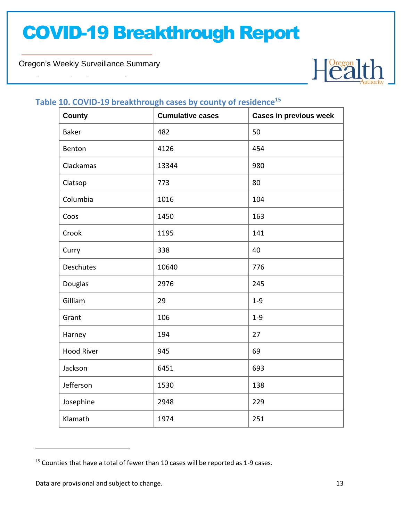Oregon's Weekly Surveillance Summary

Novel Coronavirus (COVID-19)



### **Table 10. COVID-19 breakthrough cases by county of residence<sup>15</sup>**

| <b>County</b>     | <b>Cumulative cases</b> | <b>Cases in previous week</b> |
|-------------------|-------------------------|-------------------------------|
| <b>Baker</b>      | 482                     | 50                            |
| Benton            | 4126                    | 454                           |
| Clackamas         | 13344                   | 980                           |
| Clatsop           | 773                     | 80                            |
| Columbia          | 1016                    | 104                           |
| Coos              | 1450                    | 163                           |
| Crook             | 1195                    | 141                           |
| Curry             | 338                     | 40                            |
| Deschutes         | 10640                   | 776                           |
| Douglas           | 2976                    | 245                           |
| Gilliam           | 29                      | $1 - 9$                       |
| Grant             | 106                     | $1 - 9$                       |
| Harney            | 194                     | 27                            |
| <b>Hood River</b> | 945                     | 69                            |
| Jackson           | 6451                    | 693                           |
| Jefferson         | 1530                    | 138                           |
| Josephine         | 2948                    | 229                           |
| Klamath           | 1974                    | 251                           |

<sup>&</sup>lt;sup>15</sup> Counties that have a total of fewer than 10 cases will be reported as 1-9 cases.

Data are provisional and subject to change. The same state of the state of the state of the state of the state of the state of the state of the state of the state of the state of the state of the state of the state of the